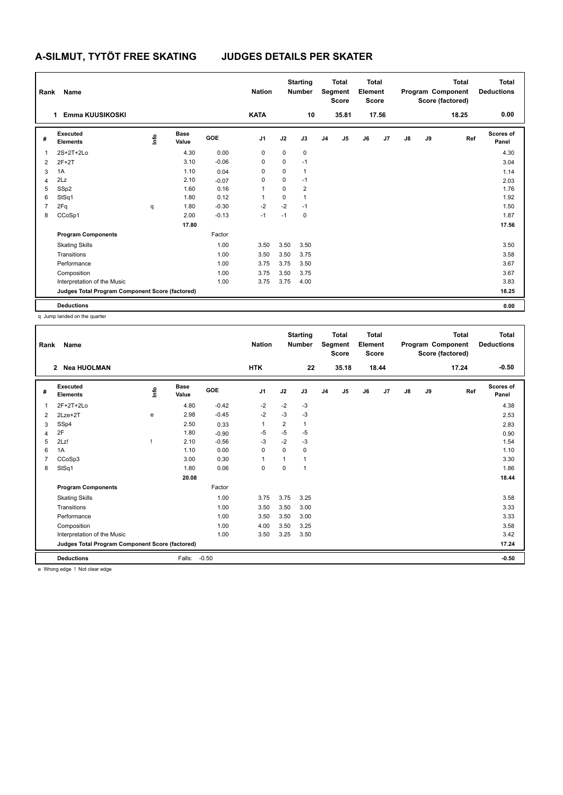| Rank           | Name                                            |      |                      |         | <b>Nation</b>  |      | <b>Starting</b><br><b>Number</b> |                | <b>Total</b><br>Segment<br><b>Score</b> | Total<br>Element<br><b>Score</b> |       |    |    | <b>Total</b><br>Program Component<br>Score (factored) | Total<br><b>Deductions</b> |
|----------------|-------------------------------------------------|------|----------------------|---------|----------------|------|----------------------------------|----------------|-----------------------------------------|----------------------------------|-------|----|----|-------------------------------------------------------|----------------------------|
|                | Emma KUUSIKOSKI<br>1.                           |      |                      |         | <b>KATA</b>    |      | 10                               |                | 35.81                                   |                                  | 17.56 |    |    | 18.25                                                 | 0.00                       |
| #              | <b>Executed</b><br><b>Elements</b>              | lnfo | <b>Base</b><br>Value | GOE     | J <sub>1</sub> | J2   | J3                               | J <sub>4</sub> | J5                                      | J6                               | J7    | J8 | J9 | Ref                                                   | <b>Scores of</b><br>Panel  |
| 1              | $2S+2T+2Lo$                                     |      | 4.30                 | 0.00    | 0              | 0    | $\mathbf 0$                      |                |                                         |                                  |       |    |    |                                                       | 4.30                       |
| 2              | $2F+2T$                                         |      | 3.10                 | $-0.06$ | 0              | 0    | $-1$                             |                |                                         |                                  |       |    |    |                                                       | 3.04                       |
| 3              | 1A                                              |      | 1.10                 | 0.04    | 0              | 0    | $\overline{1}$                   |                |                                         |                                  |       |    |    |                                                       | 1.14                       |
| 4              | 2Lz                                             |      | 2.10                 | $-0.07$ | 0              | 0    | $-1$                             |                |                                         |                                  |       |    |    |                                                       | 2.03                       |
| 5              | SSp2                                            |      | 1.60                 | 0.16    | 1              | 0    | $\overline{2}$                   |                |                                         |                                  |       |    |    |                                                       | 1.76                       |
| 6              | StSq1                                           |      | 1.80                 | 0.12    |                | 0    | $\overline{1}$                   |                |                                         |                                  |       |    |    |                                                       | 1.92                       |
| $\overline{7}$ | 2Fq                                             | q    | 1.80                 | $-0.30$ | $-2$           | $-2$ | $-1$                             |                |                                         |                                  |       |    |    |                                                       | 1.50                       |
| 8              | CCoSp1                                          |      | 2.00                 | $-0.13$ | $-1$           | $-1$ | $\pmb{0}$                        |                |                                         |                                  |       |    |    |                                                       | 1.87                       |
|                |                                                 |      | 17.80                |         |                |      |                                  |                |                                         |                                  |       |    |    |                                                       | 17.56                      |
|                | <b>Program Components</b>                       |      |                      | Factor  |                |      |                                  |                |                                         |                                  |       |    |    |                                                       |                            |
|                | <b>Skating Skills</b>                           |      |                      | 1.00    | 3.50           | 3.50 | 3.50                             |                |                                         |                                  |       |    |    |                                                       | 3.50                       |
|                | Transitions                                     |      |                      | 1.00    | 3.50           | 3.50 | 3.75                             |                |                                         |                                  |       |    |    |                                                       | 3.58                       |
|                | Performance                                     |      |                      | 1.00    | 3.75           | 3.75 | 3.50                             |                |                                         |                                  |       |    |    |                                                       | 3.67                       |
|                | Composition                                     |      |                      | 1.00    | 3.75           | 3.50 | 3.75                             |                |                                         |                                  |       |    |    |                                                       | 3.67                       |
|                | Interpretation of the Music                     |      |                      | 1.00    | 3.75           | 3.75 | 4.00                             |                |                                         |                                  |       |    |    |                                                       | 3.83                       |
|                | Judges Total Program Component Score (factored) |      |                      |         |                |      |                                  |                |                                         |                                  |       |    |    |                                                       | 18.25                      |
|                | <b>Deductions</b>                               |      |                      |         |                |      |                                  |                |                                         |                                  |       |    |    |                                                       | 0.00                       |

q Jump landed on the quarter

| Rank | Name                                            |    |                      |         | <b>Nation</b> |                | <b>Starting</b><br><b>Number</b> |                | <b>Total</b><br>Segment<br><b>Score</b> | Total<br>Element<br><b>Score</b> |       |               |    | <b>Total</b><br>Program Component<br>Score (factored) | <b>Total</b><br><b>Deductions</b> |
|------|-------------------------------------------------|----|----------------------|---------|---------------|----------------|----------------------------------|----------------|-----------------------------------------|----------------------------------|-------|---------------|----|-------------------------------------------------------|-----------------------------------|
|      | <b>Nea HUOLMAN</b><br>$\overline{2}$            |    |                      |         | <b>HTK</b>    |                | 22                               |                | 35.18                                   |                                  | 18.44 |               |    | 17.24                                                 | $-0.50$                           |
| #    | <b>Executed</b><br><b>Elements</b>              | ۴ô | <b>Base</b><br>Value | GOE     | J1            | J2             | J3                               | J <sub>4</sub> | J5                                      | J6                               | J7    | $\mathsf{J}8$ | J9 | Ref                                                   | Scores of<br>Panel                |
| 1    | $2F+2T+2Lo$                                     |    | 4.80                 | $-0.42$ | $-2$          | $-2$           | $-3$                             |                |                                         |                                  |       |               |    |                                                       | 4.38                              |
| 2    | $2Lze+2T$                                       | e  | 2.98                 | $-0.45$ | $-2$          | $-3$           | -3                               |                |                                         |                                  |       |               |    |                                                       | 2.53                              |
| 3    | SSp4                                            |    | 2.50                 | 0.33    | 1             | $\overline{2}$ | 1                                |                |                                         |                                  |       |               |    |                                                       | 2.83                              |
| 4    | 2F                                              |    | 1.80                 | $-0.90$ | $-5$          | $-5$           | $-5$                             |                |                                         |                                  |       |               |    |                                                       | 0.90                              |
| 5    | 2Lz!                                            |    | 2.10                 | $-0.56$ | $-3$          | $-2$           | $-3$                             |                |                                         |                                  |       |               |    |                                                       | 1.54                              |
| 6    | 1A                                              |    | 1.10                 | 0.00    | $\mathbf 0$   | $\Omega$       | 0                                |                |                                         |                                  |       |               |    |                                                       | 1.10                              |
| 7    | CCoSp3                                          |    | 3.00                 | 0.30    | 1             | 1              | 1                                |                |                                         |                                  |       |               |    |                                                       | 3.30                              |
| 8    | StSq1                                           |    | 1.80                 | 0.06    | $\mathbf 0$   | $\mathbf 0$    | 1                                |                |                                         |                                  |       |               |    |                                                       | 1.86                              |
|      |                                                 |    | 20.08                |         |               |                |                                  |                |                                         |                                  |       |               |    |                                                       | 18.44                             |
|      | <b>Program Components</b>                       |    |                      | Factor  |               |                |                                  |                |                                         |                                  |       |               |    |                                                       |                                   |
|      | <b>Skating Skills</b>                           |    |                      | 1.00    | 3.75          | 3.75           | 3.25                             |                |                                         |                                  |       |               |    |                                                       | 3.58                              |
|      | Transitions                                     |    |                      | 1.00    | 3.50          | 3.50           | 3.00                             |                |                                         |                                  |       |               |    |                                                       | 3.33                              |
|      | Performance                                     |    |                      | 1.00    | 3.50          | 3.50           | 3.00                             |                |                                         |                                  |       |               |    |                                                       | 3.33                              |
|      | Composition                                     |    |                      | 1.00    | 4.00          | 3.50           | 3.25                             |                |                                         |                                  |       |               |    |                                                       | 3.58                              |
|      | Interpretation of the Music                     |    |                      | 1.00    | 3.50          | 3.25           | 3.50                             |                |                                         |                                  |       |               |    |                                                       | 3.42                              |
|      | Judges Total Program Component Score (factored) |    |                      |         |               |                |                                  |                |                                         |                                  |       |               |    |                                                       | 17.24                             |
|      | <b>Deductions</b><br>$\mathbf{v}$               |    | Falls:               | $-0.50$ |               |                |                                  |                |                                         |                                  |       |               |    |                                                       | $-0.50$                           |

e Wrong edge ! Not clear edge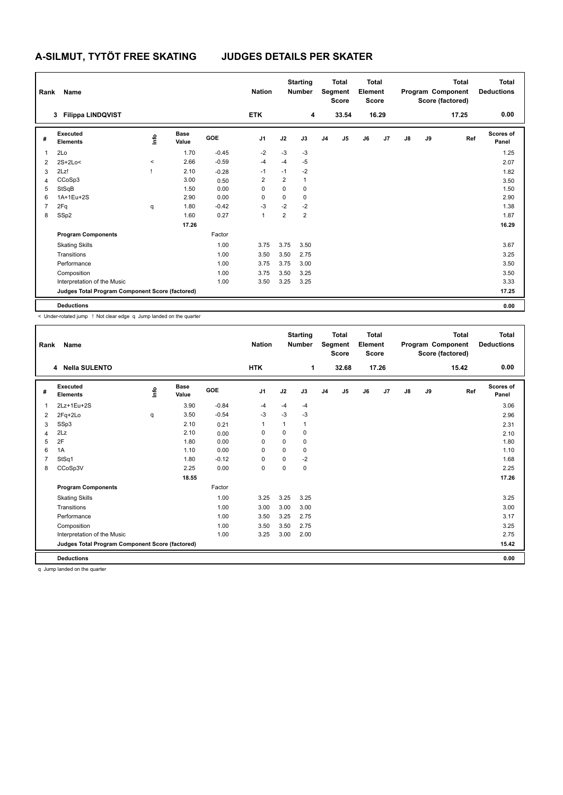| Rank           | Name                                            |                     |                      |            | <b>Nation</b>  |                | <b>Starting</b><br><b>Number</b> |                | <b>Total</b><br>Segment<br><b>Score</b> | <b>Total</b><br>Element<br><b>Score</b> |       |               |    | <b>Total</b><br>Program Component<br>Score (factored) | <b>Total</b><br><b>Deductions</b> |
|----------------|-------------------------------------------------|---------------------|----------------------|------------|----------------|----------------|----------------------------------|----------------|-----------------------------------------|-----------------------------------------|-------|---------------|----|-------------------------------------------------------|-----------------------------------|
|                | <b>Filippa LINDQVIST</b><br>3                   |                     |                      |            | <b>ETK</b>     |                | 4                                |                | 33.54                                   |                                         | 16.29 |               |    | 17.25                                                 | 0.00                              |
| #              | Executed<br><b>Elements</b>                     | lnfo                | <b>Base</b><br>Value | <b>GOE</b> | J <sub>1</sub> | J2             | J3                               | J <sub>4</sub> | J5                                      | J6                                      | J7    | $\mathsf{J}8$ | J9 | Ref                                                   | <b>Scores of</b><br>Panel         |
| 1              | 2Lo                                             |                     | 1.70                 | $-0.45$    | $-2$           | $-3$           | $-3$                             |                |                                         |                                         |       |               |    |                                                       | 1.25                              |
| 2              | $2S+2Lo<$                                       | $\hat{\phantom{a}}$ | 2.66                 | $-0.59$    | $-4$           | -4             | $-5$                             |                |                                         |                                         |       |               |    |                                                       | 2.07                              |
| 3              | 2Lz!                                            |                     | 2.10                 | $-0.28$    | $-1$           | $-1$           | $-2$                             |                |                                         |                                         |       |               |    |                                                       | 1.82                              |
| 4              | CCoSp3                                          |                     | 3.00                 | 0.50       | 2              | $\overline{2}$ | $\mathbf{1}$                     |                |                                         |                                         |       |               |    |                                                       | 3.50                              |
| 5              | StSqB                                           |                     | 1.50                 | 0.00       | 0              | 0              | 0                                |                |                                         |                                         |       |               |    |                                                       | 1.50                              |
| 6              | 1A+1Eu+2S                                       |                     | 2.90                 | 0.00       | 0              | 0              | $\mathbf 0$                      |                |                                         |                                         |       |               |    |                                                       | 2.90                              |
| $\overline{7}$ | 2Fq                                             | q                   | 1.80                 | $-0.42$    | $-3$           | $-2$           | $-2$                             |                |                                         |                                         |       |               |    |                                                       | 1.38                              |
| 8              | SSp2                                            |                     | 1.60                 | 0.27       | $\mathbf{1}$   | $\overline{2}$ | $\overline{2}$                   |                |                                         |                                         |       |               |    |                                                       | 1.87                              |
|                |                                                 |                     | 17.26                |            |                |                |                                  |                |                                         |                                         |       |               |    |                                                       | 16.29                             |
|                | <b>Program Components</b>                       |                     |                      | Factor     |                |                |                                  |                |                                         |                                         |       |               |    |                                                       |                                   |
|                | <b>Skating Skills</b>                           |                     |                      | 1.00       | 3.75           | 3.75           | 3.50                             |                |                                         |                                         |       |               |    |                                                       | 3.67                              |
|                | Transitions                                     |                     |                      | 1.00       | 3.50           | 3.50           | 2.75                             |                |                                         |                                         |       |               |    |                                                       | 3.25                              |
|                | Performance                                     |                     |                      | 1.00       | 3.75           | 3.75           | 3.00                             |                |                                         |                                         |       |               |    |                                                       | 3.50                              |
|                | Composition                                     |                     |                      | 1.00       | 3.75           | 3.50           | 3.25                             |                |                                         |                                         |       |               |    |                                                       | 3.50                              |
|                | Interpretation of the Music                     |                     |                      | 1.00       | 3.50           | 3.25           | 3.25                             |                |                                         |                                         |       |               |    |                                                       | 3.33                              |
|                | Judges Total Program Component Score (factored) |                     |                      |            |                |                |                                  |                |                                         |                                         |       |               |    |                                                       | 17.25                             |
|                | <b>Deductions</b>                               |                     |                      |            |                |                |                                  |                |                                         |                                         |       |               |    |                                                       | 0.00                              |

< Under-rotated jump ! Not clear edge q Jump landed on the quarter

| Rank | Name                                            |      |               |         | <b>Nation</b>  |             | <b>Starting</b><br><b>Number</b> |                | <b>Total</b><br>Segment<br><b>Score</b> | <b>Total</b><br>Element<br><b>Score</b> |       |               |    | <b>Total</b><br>Program Component<br>Score (factored) | <b>Total</b><br><b>Deductions</b> |
|------|-------------------------------------------------|------|---------------|---------|----------------|-------------|----------------------------------|----------------|-----------------------------------------|-----------------------------------------|-------|---------------|----|-------------------------------------------------------|-----------------------------------|
|      | 4 Nella SULENTO                                 |      |               |         | <b>HTK</b>     |             | 1                                |                | 32.68                                   |                                         | 17.26 |               |    | 15.42                                                 | 0.00                              |
| #    | Executed<br><b>Elements</b>                     | ١ifo | Base<br>Value | GOE     | J <sub>1</sub> | J2          | J3                               | J <sub>4</sub> | J <sub>5</sub>                          | J6                                      | J7    | $\mathsf{J}8$ | J9 | Ref                                                   | Scores of<br>Panel                |
| 1    | 2Lz+1Eu+2S                                      |      | 3.90          | $-0.84$ | $-4$           | $-4$        | $-4$                             |                |                                         |                                         |       |               |    |                                                       | 3.06                              |
| 2    | 2Fq+2Lo                                         | q    | 3.50          | $-0.54$ | $-3$           | $-3$        | $-3$                             |                |                                         |                                         |       |               |    |                                                       | 2.96                              |
| 3    | SSp3                                            |      | 2.10          | 0.21    | 1              | 1           |                                  |                |                                         |                                         |       |               |    |                                                       | 2.31                              |
| 4    | 2Lz                                             |      | 2.10          | 0.00    | 0              | 0           | 0                                |                |                                         |                                         |       |               |    |                                                       | 2.10                              |
| 5    | 2F                                              |      | 1.80          | 0.00    | 0              | $\mathbf 0$ | 0                                |                |                                         |                                         |       |               |    |                                                       | 1.80                              |
| 6    | 1A                                              |      | 1.10          | 0.00    | $\Omega$       | $\Omega$    | 0                                |                |                                         |                                         |       |               |    |                                                       | 1.10                              |
|      | StSq1                                           |      | 1.80          | $-0.12$ | $\Omega$       | $\Omega$    | $-2$                             |                |                                         |                                         |       |               |    |                                                       | 1.68                              |
| 8    | CCoSp3V                                         |      | 2.25          | 0.00    | $\mathbf 0$    | $\Omega$    | 0                                |                |                                         |                                         |       |               |    |                                                       | 2.25                              |
|      |                                                 |      | 18.55         |         |                |             |                                  |                |                                         |                                         |       |               |    |                                                       | 17.26                             |
|      | <b>Program Components</b>                       |      |               | Factor  |                |             |                                  |                |                                         |                                         |       |               |    |                                                       |                                   |
|      | <b>Skating Skills</b>                           |      |               | 1.00    | 3.25           | 3.25        | 3.25                             |                |                                         |                                         |       |               |    |                                                       | 3.25                              |
|      | Transitions                                     |      |               | 1.00    | 3.00           | 3.00        | 3.00                             |                |                                         |                                         |       |               |    |                                                       | 3.00                              |
|      | Performance                                     |      |               | 1.00    | 3.50           | 3.25        | 2.75                             |                |                                         |                                         |       |               |    |                                                       | 3.17                              |
|      | Composition                                     |      |               | 1.00    | 3.50           | 3.50        | 2.75                             |                |                                         |                                         |       |               |    |                                                       | 3.25                              |
|      | Interpretation of the Music                     |      |               | 1.00    | 3.25           | 3.00        | 2.00                             |                |                                         |                                         |       |               |    |                                                       | 2.75                              |
|      | Judges Total Program Component Score (factored) |      |               |         |                |             |                                  |                |                                         |                                         |       |               |    |                                                       | 15.42                             |
|      | <b>Deductions</b>                               |      |               |         |                |             |                                  |                |                                         |                                         |       |               |    |                                                       | 0.00                              |

q Jump landed on the quarter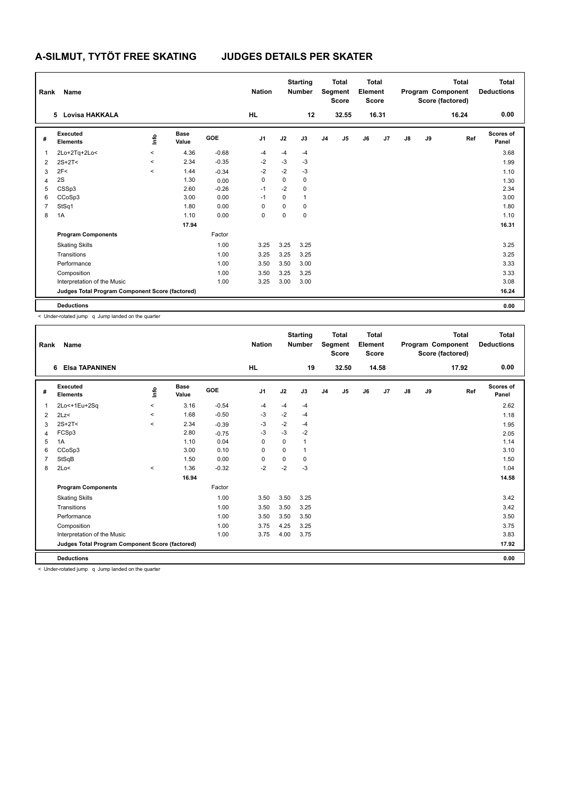| Rank           | Name                                            |          |                      |            | <b>Nation</b>  |      | <b>Starting</b><br><b>Number</b> |                | <b>Total</b><br>Segment<br><b>Score</b> | <b>Total</b><br>Element<br><b>Score</b> |       |               |    | Total<br>Program Component<br>Score (factored) | <b>Total</b><br><b>Deductions</b> |
|----------------|-------------------------------------------------|----------|----------------------|------------|----------------|------|----------------------------------|----------------|-----------------------------------------|-----------------------------------------|-------|---------------|----|------------------------------------------------|-----------------------------------|
|                | Lovisa HAKKALA<br>5.                            |          |                      |            | <b>HL</b>      |      | 12                               |                | 32.55                                   |                                         | 16.31 |               |    | 16.24                                          | 0.00                              |
| #              | Executed<br><b>Elements</b>                     | ١m       | <b>Base</b><br>Value | <b>GOE</b> | J <sub>1</sub> | J2   | J3                               | J <sub>4</sub> | J <sub>5</sub>                          | J6                                      | J7    | $\mathsf{J}8$ | J9 | Ref                                            | <b>Scores of</b><br>Panel         |
| $\mathbf{1}$   | 2Lo+2Tq+2Lo<                                    | $\hat{}$ | 4.36                 | $-0.68$    | $-4$           | $-4$ | $-4$                             |                |                                         |                                         |       |               |    |                                                | 3.68                              |
| 2              | $2S+2T<$                                        | $\,<\,$  | 2.34                 | $-0.35$    | $-2$           | $-3$ | $-3$                             |                |                                         |                                         |       |               |    |                                                | 1.99                              |
| 3              | 2F<                                             | $\prec$  | 1.44                 | $-0.34$    | $-2$           | $-2$ | $-3$                             |                |                                         |                                         |       |               |    |                                                | 1.10                              |
| $\overline{4}$ | 2S                                              |          | 1.30                 | 0.00       | 0              | 0    | $\mathbf 0$                      |                |                                         |                                         |       |               |    |                                                | 1.30                              |
| 5              | CSSp3                                           |          | 2.60                 | $-0.26$    | $-1$           | $-2$ | $\mathbf 0$                      |                |                                         |                                         |       |               |    |                                                | 2.34                              |
| 6              | CCoSp3                                          |          | 3.00                 | 0.00       | $-1$           | 0    | $\mathbf{1}$                     |                |                                         |                                         |       |               |    |                                                | 3.00                              |
| $\overline{7}$ | StSq1                                           |          | 1.80                 | 0.00       | 0              | 0    | 0                                |                |                                         |                                         |       |               |    |                                                | 1.80                              |
| 8              | 1A                                              |          | 1.10                 | 0.00       | 0              | 0    | $\pmb{0}$                        |                |                                         |                                         |       |               |    |                                                | 1.10                              |
|                |                                                 |          | 17.94                |            |                |      |                                  |                |                                         |                                         |       |               |    |                                                | 16.31                             |
|                | <b>Program Components</b>                       |          |                      | Factor     |                |      |                                  |                |                                         |                                         |       |               |    |                                                |                                   |
|                | <b>Skating Skills</b>                           |          |                      | 1.00       | 3.25           | 3.25 | 3.25                             |                |                                         |                                         |       |               |    |                                                | 3.25                              |
|                | Transitions                                     |          |                      | 1.00       | 3.25           | 3.25 | 3.25                             |                |                                         |                                         |       |               |    |                                                | 3.25                              |
|                | Performance                                     |          |                      | 1.00       | 3.50           | 3.50 | 3.00                             |                |                                         |                                         |       |               |    |                                                | 3.33                              |
|                | Composition                                     |          |                      | 1.00       | 3.50           | 3.25 | 3.25                             |                |                                         |                                         |       |               |    |                                                | 3.33                              |
|                | Interpretation of the Music                     |          |                      | 1.00       | 3.25           | 3.00 | 3.00                             |                |                                         |                                         |       |               |    |                                                | 3.08                              |
|                | Judges Total Program Component Score (factored) |          |                      |            |                |      |                                  |                |                                         |                                         |       |               |    |                                                | 16.24                             |
|                | <b>Deductions</b>                               |          |                      |            |                |      |                                  |                |                                         |                                         |       |               |    |                                                | 0.00                              |

| Rank | Name                                            |          |                      |         | <b>Nation</b>  |      | <b>Starting</b><br><b>Number</b> |                | <b>Total</b><br>Segment<br><b>Score</b> | <b>Total</b><br>Element<br><b>Score</b> |       |               |    | <b>Total</b><br>Program Component<br>Score (factored) | <b>Total</b><br><b>Deductions</b> |
|------|-------------------------------------------------|----------|----------------------|---------|----------------|------|----------------------------------|----------------|-----------------------------------------|-----------------------------------------|-------|---------------|----|-------------------------------------------------------|-----------------------------------|
|      | <b>Elsa TAPANINEN</b><br>6                      |          |                      |         | <b>HL</b>      |      | 19                               |                | 32.50                                   |                                         | 14.58 |               |    | 17.92                                                 | 0.00                              |
| #    | Executed<br><b>Elements</b>                     | info     | <b>Base</b><br>Value | GOE     | J <sub>1</sub> | J2   | J3                               | J <sub>4</sub> | J5                                      | J6                                      | J7    | $\mathsf{J}8$ | J9 | Ref                                                   | <b>Scores of</b><br>Panel         |
| 1    | 2Lo<+1Eu+2Sq                                    | $\prec$  | 3.16                 | $-0.54$ | $-4$           | $-4$ | $-4$                             |                |                                         |                                         |       |               |    |                                                       | 2.62                              |
| 2    | 2Lz                                             | $\hat{}$ | 1.68                 | $-0.50$ | -3             | $-2$ | $-4$                             |                |                                         |                                         |       |               |    |                                                       | 1.18                              |
| 3    | $2S+2T<$                                        | $\prec$  | 2.34                 | $-0.39$ | $-3$           | $-2$ | -4                               |                |                                         |                                         |       |               |    |                                                       | 1.95                              |
| 4    | FCSp3                                           |          | 2.80                 | $-0.75$ | $-3$           | $-3$ | $-2$                             |                |                                         |                                         |       |               |    |                                                       | 2.05                              |
| 5    | 1A                                              |          | 1.10                 | 0.04    | 0              | 0    | $\overline{1}$                   |                |                                         |                                         |       |               |    |                                                       | 1.14                              |
| 6    | CCoSp3                                          |          | 3.00                 | 0.10    | 0              | 0    | 1                                |                |                                         |                                         |       |               |    |                                                       | 3.10                              |
|      | StSqB                                           |          | 1.50                 | 0.00    | 0              | 0    | 0                                |                |                                         |                                         |       |               |    |                                                       | 1.50                              |
| 8    | 2Lo<                                            | $\hat{}$ | 1.36                 | $-0.32$ | $-2$           | $-2$ | $-3$                             |                |                                         |                                         |       |               |    |                                                       | 1.04                              |
|      |                                                 |          | 16.94                |         |                |      |                                  |                |                                         |                                         |       |               |    |                                                       | 14.58                             |
|      | <b>Program Components</b>                       |          |                      | Factor  |                |      |                                  |                |                                         |                                         |       |               |    |                                                       |                                   |
|      | <b>Skating Skills</b>                           |          |                      | 1.00    | 3.50           | 3.50 | 3.25                             |                |                                         |                                         |       |               |    |                                                       | 3.42                              |
|      | Transitions                                     |          |                      | 1.00    | 3.50           | 3.50 | 3.25                             |                |                                         |                                         |       |               |    |                                                       | 3.42                              |
|      | Performance                                     |          |                      | 1.00    | 3.50           | 3.50 | 3.50                             |                |                                         |                                         |       |               |    |                                                       | 3.50                              |
|      | Composition                                     |          |                      | 1.00    | 3.75           | 4.25 | 3.25                             |                |                                         |                                         |       |               |    |                                                       | 3.75                              |
|      | Interpretation of the Music                     |          |                      | 1.00    | 3.75           | 4.00 | 3.75                             |                |                                         |                                         |       |               |    |                                                       | 3.83                              |
|      | Judges Total Program Component Score (factored) |          |                      |         |                |      |                                  |                |                                         |                                         |       |               |    |                                                       | 17.92                             |
|      | <b>Deductions</b>                               |          |                      |         |                |      |                                  |                |                                         |                                         |       |               |    |                                                       | 0.00                              |

< Under-rotated jump q Jump landed on the quarter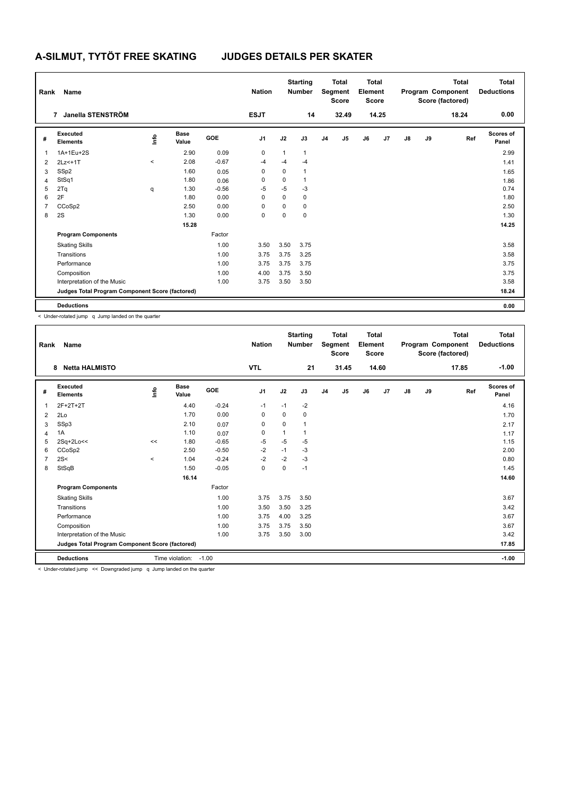| Rank           | Name                                            |                     |                      |         | <b>Nation</b>  |              | <b>Starting</b><br><b>Number</b> |                | <b>Total</b><br>Segment<br><b>Score</b> | <b>Total</b><br>Element<br><b>Score</b> |       |               |    | <b>Total</b><br>Program Component<br>Score (factored) | <b>Total</b><br><b>Deductions</b> |
|----------------|-------------------------------------------------|---------------------|----------------------|---------|----------------|--------------|----------------------------------|----------------|-----------------------------------------|-----------------------------------------|-------|---------------|----|-------------------------------------------------------|-----------------------------------|
|                | Janella STENSTRÖM<br>$\overline{7}$             |                     |                      |         | <b>ESJT</b>    |              | 14                               |                | 32.49                                   |                                         | 14.25 |               |    | 18.24                                                 | 0.00                              |
| #              | Executed<br><b>Elements</b>                     | ١m                  | <b>Base</b><br>Value | GOE     | J <sub>1</sub> | J2           | J3                               | J <sub>4</sub> | J5                                      | J6                                      | J7    | $\mathsf{J}8$ | J9 | Ref                                                   | Scores of<br>Panel                |
| 1              | 1A+1Eu+2S                                       |                     | 2.90                 | 0.09    | 0              | $\mathbf{1}$ | $\mathbf{1}$                     |                |                                         |                                         |       |               |    |                                                       | 2.99                              |
| 2              | 2Lz <+1T                                        | $\hat{\phantom{a}}$ | 2.08                 | $-0.67$ | $-4$           | -4           | -4                               |                |                                         |                                         |       |               |    |                                                       | 1.41                              |
| 3              | SSp2                                            |                     | 1.60                 | 0.05    | 0              | $\Omega$     | $\overline{1}$                   |                |                                         |                                         |       |               |    |                                                       | 1.65                              |
| 4              | StSq1                                           |                     | 1.80                 | 0.06    | 0              | 0            |                                  |                |                                         |                                         |       |               |    |                                                       | 1.86                              |
| 5              | 2Tq                                             | q                   | 1.30                 | $-0.56$ | $-5$           | $-5$         | $-3$                             |                |                                         |                                         |       |               |    |                                                       | 0.74                              |
| 6              | 2F                                              |                     | 1.80                 | 0.00    | 0              | 0            | 0                                |                |                                         |                                         |       |               |    |                                                       | 1.80                              |
| $\overline{7}$ | CCoSp2                                          |                     | 2.50                 | 0.00    | 0              | 0            | 0                                |                |                                         |                                         |       |               |    |                                                       | 2.50                              |
| 8              | 2S                                              |                     | 1.30                 | 0.00    | 0              | 0            | 0                                |                |                                         |                                         |       |               |    |                                                       | 1.30                              |
|                |                                                 |                     | 15.28                |         |                |              |                                  |                |                                         |                                         |       |               |    |                                                       | 14.25                             |
|                | <b>Program Components</b>                       |                     |                      | Factor  |                |              |                                  |                |                                         |                                         |       |               |    |                                                       |                                   |
|                | <b>Skating Skills</b>                           |                     |                      | 1.00    | 3.50           | 3.50         | 3.75                             |                |                                         |                                         |       |               |    |                                                       | 3.58                              |
|                | Transitions                                     |                     |                      | 1.00    | 3.75           | 3.75         | 3.25                             |                |                                         |                                         |       |               |    |                                                       | 3.58                              |
|                | Performance                                     |                     |                      | 1.00    | 3.75           | 3.75         | 3.75                             |                |                                         |                                         |       |               |    |                                                       | 3.75                              |
|                | Composition                                     |                     |                      | 1.00    | 4.00           | 3.75         | 3.50                             |                |                                         |                                         |       |               |    |                                                       | 3.75                              |
|                | Interpretation of the Music                     |                     |                      | 1.00    | 3.75           | 3.50         | 3.50                             |                |                                         |                                         |       |               |    |                                                       | 3.58                              |
|                | Judges Total Program Component Score (factored) |                     |                      |         |                |              |                                  |                |                                         |                                         |       |               |    |                                                       | 18.24                             |
|                | <b>Deductions</b>                               |                     |                      |         |                |              |                                  |                |                                         |                                         |       |               |    |                                                       | 0.00                              |

| Rank           | Name                                                                      |             |                      |         | <b>Nation</b>  |             | <b>Starting</b><br><b>Number</b> |                | <b>Total</b><br>Segment<br><b>Score</b> | <b>Total</b><br>Element<br><b>Score</b> |       |               |    | <b>Total</b><br>Program Component<br>Score (factored) | <b>Total</b><br><b>Deductions</b> |
|----------------|---------------------------------------------------------------------------|-------------|----------------------|---------|----------------|-------------|----------------------------------|----------------|-----------------------------------------|-----------------------------------------|-------|---------------|----|-------------------------------------------------------|-----------------------------------|
|                | <b>Netta HALMISTO</b><br>8                                                |             |                      |         | <b>VTL</b>     |             | 21                               |                | 31.45                                   |                                         | 14.60 |               |    | 17.85                                                 | $-1.00$                           |
| #              | Executed<br><b>Elements</b>                                               | <u>info</u> | <b>Base</b><br>Value | GOE     | J <sub>1</sub> | J2          | J3                               | J <sub>4</sub> | J5                                      | J6                                      | J7    | $\mathsf{J}8$ | J9 | Ref                                                   | <b>Scores of</b><br>Panel         |
| 1              | 2F+2T+2T                                                                  |             | 4.40                 | $-0.24$ | $-1$           | $-1$        | $-2$                             |                |                                         |                                         |       |               |    |                                                       | 4.16                              |
| 2              | 2Lo                                                                       |             | 1.70                 | 0.00    | 0              | 0           | 0                                |                |                                         |                                         |       |               |    |                                                       | 1.70                              |
| 3              | SSp3                                                                      |             | 2.10                 | 0.07    | 0              | $\Omega$    | 1                                |                |                                         |                                         |       |               |    |                                                       | 2.17                              |
| 4              | 1A                                                                        |             | 1.10                 | 0.07    | $\mathbf 0$    | 1           | 1                                |                |                                         |                                         |       |               |    |                                                       | 1.17                              |
| 5              | 2Sq+2Lo<<                                                                 | <<          | 1.80                 | $-0.65$ | $-5$           | $-5$        | $-5$                             |                |                                         |                                         |       |               |    |                                                       | 1.15                              |
| 6              | CCoSp2                                                                    |             | 2.50                 | $-0.50$ | $-2$           | $-1$        | $-3$                             |                |                                         |                                         |       |               |    |                                                       | 2.00                              |
| $\overline{7}$ | 2S<                                                                       | $\prec$     | 1.04                 | $-0.24$ | $-2$           | $-2$        | $-3$                             |                |                                         |                                         |       |               |    |                                                       | 0.80                              |
| 8              | StSqB                                                                     |             | 1.50                 | $-0.05$ | $\pmb{0}$      | $\mathbf 0$ | $-1$                             |                |                                         |                                         |       |               |    |                                                       | 1.45                              |
|                |                                                                           |             | 16.14                |         |                |             |                                  |                |                                         |                                         |       |               |    |                                                       | 14.60                             |
|                | <b>Program Components</b>                                                 |             |                      | Factor  |                |             |                                  |                |                                         |                                         |       |               |    |                                                       |                                   |
|                | <b>Skating Skills</b>                                                     |             |                      | 1.00    | 3.75           | 3.75        | 3.50                             |                |                                         |                                         |       |               |    |                                                       | 3.67                              |
|                | Transitions                                                               |             |                      | 1.00    | 3.50           | 3.50        | 3.25                             |                |                                         |                                         |       |               |    |                                                       | 3.42                              |
|                | Performance                                                               |             |                      | 1.00    | 3.75           | 4.00        | 3.25                             |                |                                         |                                         |       |               |    |                                                       | 3.67                              |
|                | Composition                                                               |             |                      | 1.00    | 3.75           | 3.75        | 3.50                             |                |                                         |                                         |       |               |    |                                                       | 3.67                              |
|                | Interpretation of the Music                                               |             |                      | 1.00    | 3.75           | 3.50        | 3.00                             |                |                                         |                                         |       |               |    |                                                       | 3.42                              |
|                | Judges Total Program Component Score (factored)                           |             |                      |         |                |             |                                  |                |                                         |                                         |       |               |    |                                                       | 17.85                             |
|                | <b>Deductions</b>                                                         |             | Time violation:      | $-1.00$ |                |             |                                  |                |                                         |                                         |       |               |    |                                                       | $-1.00$                           |
|                | a Hadar retated inner are Democrated inner a chinese leaded as the moster |             |                      |         |                |             |                                  |                |                                         |                                         |       |               |    |                                                       |                                   |

< Under-rotated jump << Downgraded jump q Jump landed on the quarter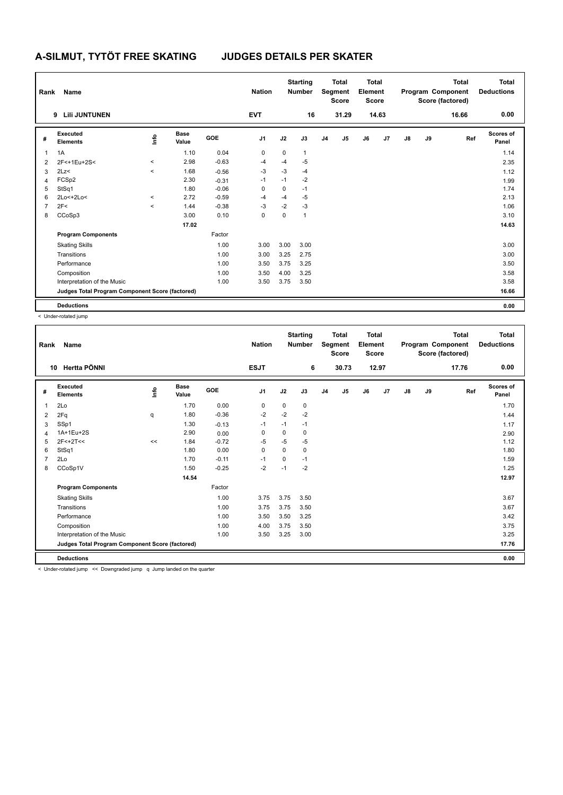| Rank           | Name                                            |                     |                      |         | <b>Nation</b>  |      | <b>Starting</b><br><b>Number</b> |                | <b>Total</b><br>Segment<br><b>Score</b> | <b>Total</b><br>Element<br>Score |       |               |    | <b>Total</b><br>Program Component<br>Score (factored) | <b>Total</b><br><b>Deductions</b> |
|----------------|-------------------------------------------------|---------------------|----------------------|---------|----------------|------|----------------------------------|----------------|-----------------------------------------|----------------------------------|-------|---------------|----|-------------------------------------------------------|-----------------------------------|
|                | <b>Lili JUNTUNEN</b><br>9                       |                     |                      |         | <b>EVT</b>     |      | 16                               |                | 31.29                                   |                                  | 14.63 |               |    | 16.66                                                 | 0.00                              |
| #              | Executed<br><b>Elements</b>                     | ١mfo                | <b>Base</b><br>Value | GOE     | J <sub>1</sub> | J2   | J3                               | J <sub>4</sub> | J5                                      | J6                               | J7    | $\mathsf{J}8$ | J9 | Ref                                                   | <b>Scores of</b><br>Panel         |
| $\overline{1}$ | 1A                                              |                     | 1.10                 | 0.04    | 0              | 0    | $\mathbf{1}$                     |                |                                         |                                  |       |               |    |                                                       | 1.14                              |
| $\overline{2}$ | 2F<+1Eu+2S<                                     | $\hat{\phantom{a}}$ | 2.98                 | $-0.63$ | $-4$           | -4   | $-5$                             |                |                                         |                                  |       |               |    |                                                       | 2.35                              |
| 3              | 2Lz<                                            | $\prec$             | 1.68                 | $-0.56$ | $-3$           | $-3$ | $-4$                             |                |                                         |                                  |       |               |    |                                                       | 1.12                              |
| $\overline{4}$ | FCSp2                                           |                     | 2.30                 | $-0.31$ | $-1$           | $-1$ | $-2$                             |                |                                         |                                  |       |               |    |                                                       | 1.99                              |
| 5              | StSq1                                           |                     | 1.80                 | $-0.06$ | $\mathbf 0$    | 0    | $-1$                             |                |                                         |                                  |       |               |    |                                                       | 1.74                              |
| 6              | 2Lo<+2Lo<                                       | $\,<\,$             | 2.72                 | $-0.59$ | $-4$           | $-4$ | $-5$                             |                |                                         |                                  |       |               |    |                                                       | 2.13                              |
| $\overline{7}$ | 2F<                                             | $\,<\,$             | 1.44                 | $-0.38$ | $-3$           | $-2$ | $-3$                             |                |                                         |                                  |       |               |    |                                                       | 1.06                              |
| 8              | CCoSp3                                          |                     | 3.00                 | 0.10    | 0              | 0    | $\overline{1}$                   |                |                                         |                                  |       |               |    |                                                       | 3.10                              |
|                |                                                 |                     | 17.02                |         |                |      |                                  |                |                                         |                                  |       |               |    |                                                       | 14.63                             |
|                | <b>Program Components</b>                       |                     |                      | Factor  |                |      |                                  |                |                                         |                                  |       |               |    |                                                       |                                   |
|                | <b>Skating Skills</b>                           |                     |                      | 1.00    | 3.00           | 3.00 | 3.00                             |                |                                         |                                  |       |               |    |                                                       | 3.00                              |
|                | Transitions                                     |                     |                      | 1.00    | 3.00           | 3.25 | 2.75                             |                |                                         |                                  |       |               |    |                                                       | 3.00                              |
|                | Performance                                     |                     |                      | 1.00    | 3.50           | 3.75 | 3.25                             |                |                                         |                                  |       |               |    |                                                       | 3.50                              |
|                | Composition                                     |                     |                      | 1.00    | 3.50           | 4.00 | 3.25                             |                |                                         |                                  |       |               |    |                                                       | 3.58                              |
|                | Interpretation of the Music                     |                     |                      | 1.00    | 3.50           | 3.75 | 3.50                             |                |                                         |                                  |       |               |    |                                                       | 3.58                              |
|                | Judges Total Program Component Score (factored) |                     |                      |         |                |      |                                  |                |                                         |                                  |       |               |    |                                                       | 16.66                             |
|                | <b>Deductions</b>                               |                     |                      |         |                |      |                                  |                |                                         |                                  |       |               |    |                                                       | 0.00                              |

< Under-rotated jump

| Rank | <b>Name</b>                                     |      |                      |            | <b>Nation</b>  |             | <b>Starting</b><br><b>Number</b> |                | <b>Total</b><br>Segment<br><b>Score</b> | <b>Total</b><br>Element<br><b>Score</b> |                |    |    | <b>Total</b><br>Program Component<br>Score (factored) | <b>Total</b><br><b>Deductions</b> |
|------|-------------------------------------------------|------|----------------------|------------|----------------|-------------|----------------------------------|----------------|-----------------------------------------|-----------------------------------------|----------------|----|----|-------------------------------------------------------|-----------------------------------|
|      | Hertta PÖNNI<br>10                              |      |                      |            | <b>ESJT</b>    |             | 6                                |                | 30.73                                   |                                         | 12.97          |    |    | 17.76                                                 | 0.00                              |
| #    | Executed<br><b>Elements</b>                     | info | <b>Base</b><br>Value | <b>GOE</b> | J <sub>1</sub> | J2          | J3                               | J <sub>4</sub> | J <sub>5</sub>                          | J6                                      | J <sub>7</sub> | J8 | J9 | Ref                                                   | <b>Scores of</b><br>Panel         |
| 1    | 2Lo                                             |      | 1.70                 | 0.00       | 0              | $\mathbf 0$ | 0                                |                |                                         |                                         |                |    |    |                                                       | 1.70                              |
| 2    | 2Fq                                             | q    | 1.80                 | $-0.36$    | -2             | $-2$        | $-2$                             |                |                                         |                                         |                |    |    |                                                       | 1.44                              |
| 3    | SSp1                                            |      | 1.30                 | $-0.13$    | $-1$           | $-1$        | $-1$                             |                |                                         |                                         |                |    |    |                                                       | 1.17                              |
| 4    | 1A+1Eu+2S                                       |      | 2.90                 | 0.00       | $\Omega$       | $\Omega$    | $\Omega$                         |                |                                         |                                         |                |    |    |                                                       | 2.90                              |
| 5    | $2F < +2T <$                                    | <<   | 1.84                 | $-0.72$    | $-5$           | $-5$        | $-5$                             |                |                                         |                                         |                |    |    |                                                       | 1.12                              |
| 6    | StSq1                                           |      | 1.80                 | 0.00       | $\mathbf 0$    | $\Omega$    | 0                                |                |                                         |                                         |                |    |    |                                                       | 1.80                              |
| 7    | 2Lo                                             |      | 1.70                 | $-0.11$    | $-1$           | $\Omega$    | $-1$                             |                |                                         |                                         |                |    |    |                                                       | 1.59                              |
| 8    | CCoSp1V                                         |      | 1.50                 | $-0.25$    | $-2$           | $-1$        | $-2$                             |                |                                         |                                         |                |    |    |                                                       | 1.25                              |
|      |                                                 |      | 14.54                |            |                |             |                                  |                |                                         |                                         |                |    |    |                                                       | 12.97                             |
|      | <b>Program Components</b>                       |      |                      | Factor     |                |             |                                  |                |                                         |                                         |                |    |    |                                                       |                                   |
|      | <b>Skating Skills</b>                           |      |                      | 1.00       | 3.75           | 3.75        | 3.50                             |                |                                         |                                         |                |    |    |                                                       | 3.67                              |
|      | Transitions                                     |      |                      | 1.00       | 3.75           | 3.75        | 3.50                             |                |                                         |                                         |                |    |    |                                                       | 3.67                              |
|      | Performance                                     |      |                      | 1.00       | 3.50           | 3.50        | 3.25                             |                |                                         |                                         |                |    |    |                                                       | 3.42                              |
|      | Composition                                     |      |                      | 1.00       | 4.00           | 3.75        | 3.50                             |                |                                         |                                         |                |    |    |                                                       | 3.75                              |
|      | Interpretation of the Music                     |      |                      | 1.00       | 3.50           | 3.25        | 3.00                             |                |                                         |                                         |                |    |    |                                                       | 3.25                              |
|      | Judges Total Program Component Score (factored) |      |                      |            |                |             |                                  |                |                                         |                                         |                |    |    |                                                       | 17.76                             |
|      | <b>Deductions</b>                               |      |                      |            |                |             |                                  |                |                                         |                                         |                |    |    |                                                       | 0.00                              |
|      | $\cdots$<br>-                                   |      | .                    |            |                |             |                                  |                |                                         |                                         |                |    |    |                                                       |                                   |

< Under-rotated jump << Downgraded jump q Jump landed on the quarter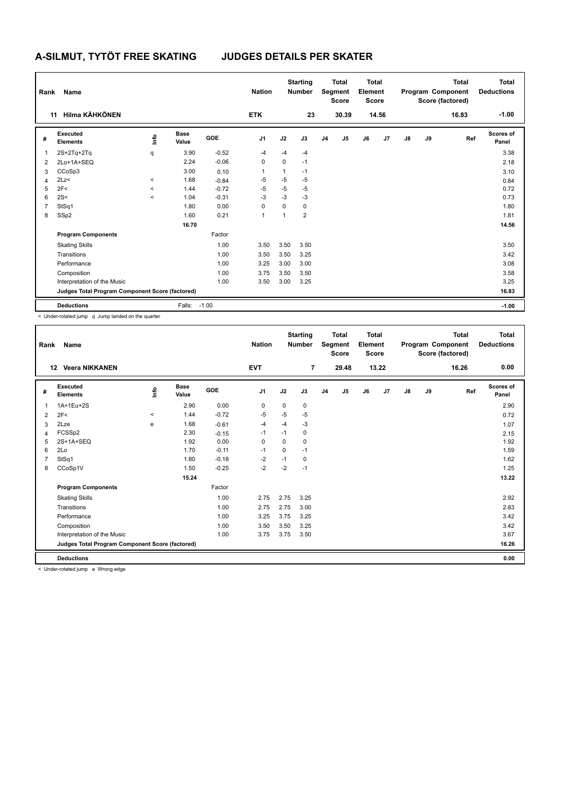| Rank           | Name                                            |         |                      |         | <b>Nation</b>  |          | <b>Starting</b><br><b>Number</b> |                | <b>Total</b><br>Segment<br><b>Score</b> | <b>Total</b><br>Element<br>Score |       |               |    | <b>Total</b><br>Program Component<br>Score (factored) | <b>Total</b><br><b>Deductions</b> |
|----------------|-------------------------------------------------|---------|----------------------|---------|----------------|----------|----------------------------------|----------------|-----------------------------------------|----------------------------------|-------|---------------|----|-------------------------------------------------------|-----------------------------------|
|                | <b>Hilma KÄHKÖNEN</b><br>11                     |         |                      |         | <b>ETK</b>     |          | 23                               |                | 30.39                                   |                                  | 14.56 |               |    | 16.83                                                 | $-1.00$                           |
| #              | Executed<br><b>Elements</b>                     | lnfo    | <b>Base</b><br>Value | GOE     | J <sub>1</sub> | J2       | J3                               | J <sub>4</sub> | J5                                      | J6                               | J7    | $\mathsf{J}8$ | J9 | Ref                                                   | Scores of<br>Panel                |
| $\overline{1}$ | $2S+2Tq+2Tq$                                    | q       | 3.90                 | $-0.52$ | $-4$           | $-4$     | $-4$                             |                |                                         |                                  |       |               |    |                                                       | 3.38                              |
| $\overline{2}$ | 2Lo+1A+SEQ                                      |         | 2.24                 | $-0.06$ | $\mathbf 0$    | 0        | $-1$                             |                |                                         |                                  |       |               |    |                                                       | 2.18                              |
| 3              | CCoSp3                                          |         | 3.00                 | 0.10    | 1              | 1        | $-1$                             |                |                                         |                                  |       |               |    |                                                       | 3.10                              |
| 4              | 2Lz                                             | $\prec$ | 1.68                 | $-0.84$ | -5             | $-5$     | -5                               |                |                                         |                                  |       |               |    |                                                       | 0.84                              |
| 5              | 2F<                                             | $\prec$ | 1.44                 | $-0.72$ | $-5$           | $-5$     | $-5$                             |                |                                         |                                  |       |               |    |                                                       | 0.72                              |
| 6              | 2S<                                             | $\prec$ | 1.04                 | $-0.31$ | $-3$           | $-3$     | $-3$                             |                |                                         |                                  |       |               |    |                                                       | 0.73                              |
| $\overline{7}$ | StSq1                                           |         | 1.80                 | 0.00    | 0              | $\Omega$ | $\mathbf 0$                      |                |                                         |                                  |       |               |    |                                                       | 1.80                              |
| 8              | SSp2                                            |         | 1.60                 | 0.21    | 1              | 1        | $\overline{2}$                   |                |                                         |                                  |       |               |    |                                                       | 1.81                              |
|                |                                                 |         | 16.70                |         |                |          |                                  |                |                                         |                                  |       |               |    |                                                       | 14.56                             |
|                | <b>Program Components</b>                       |         |                      | Factor  |                |          |                                  |                |                                         |                                  |       |               |    |                                                       |                                   |
|                | <b>Skating Skills</b>                           |         |                      | 1.00    | 3.50           | 3.50     | 3.50                             |                |                                         |                                  |       |               |    |                                                       | 3.50                              |
|                | Transitions                                     |         |                      | 1.00    | 3.50           | 3.50     | 3.25                             |                |                                         |                                  |       |               |    |                                                       | 3.42                              |
|                | Performance                                     |         |                      | 1.00    | 3.25           | 3.00     | 3.00                             |                |                                         |                                  |       |               |    |                                                       | 3.08                              |
|                | Composition                                     |         |                      | 1.00    | 3.75           | 3.50     | 3.50                             |                |                                         |                                  |       |               |    |                                                       | 3.58                              |
|                | Interpretation of the Music                     |         |                      | 1.00    | 3.50           | 3.00     | 3.25                             |                |                                         |                                  |       |               |    |                                                       | 3.25                              |
|                | Judges Total Program Component Score (factored) |         |                      |         |                |          |                                  |                |                                         |                                  |       |               |    |                                                       | 16.83                             |
|                | <b>Deductions</b>                               |         | Falls: -1.00         |         |                |          |                                  |                |                                         |                                  |       |               |    |                                                       | $-1.00$                           |

| Rank | Name                                            |                     |                      |            | <b>Nation</b>  |             | <b>Starting</b><br><b>Number</b> |                | <b>Total</b><br>Segment<br><b>Score</b> | <b>Total</b><br>Element<br><b>Score</b> |       |               |    | <b>Total</b><br>Program Component<br>Score (factored) | <b>Total</b><br><b>Deductions</b> |
|------|-------------------------------------------------|---------------------|----------------------|------------|----------------|-------------|----------------------------------|----------------|-----------------------------------------|-----------------------------------------|-------|---------------|----|-------------------------------------------------------|-----------------------------------|
| 12   | <b>Veera NIKKANEN</b>                           |                     |                      |            | <b>EVT</b>     |             | $\overline{7}$                   |                | 29.48                                   |                                         | 13.22 |               |    | 16.26                                                 | 0.00                              |
| #    | Executed<br><b>Elements</b>                     | ١ifo                | <b>Base</b><br>Value | <b>GOE</b> | J <sub>1</sub> | J2          | J3                               | J <sub>4</sub> | J5                                      | J6                                      | J7    | $\mathsf{J}8$ | J9 | Ref                                                   | <b>Scores of</b><br>Panel         |
| 1    | 1A+1Eu+2S                                       |                     | 2.90                 | 0.00       | $\mathbf 0$    | $\mathbf 0$ | $\mathbf 0$                      |                |                                         |                                         |       |               |    |                                                       | 2.90                              |
| 2    | 2F<                                             | $\hat{\phantom{a}}$ | 1.44                 | $-0.72$    | $-5$           | $-5$        | -5                               |                |                                         |                                         |       |               |    |                                                       | 0.72                              |
| 3    | 2Lze                                            | e                   | 1.68                 | $-0.61$    | $-4$           | $-4$        | $-3$                             |                |                                         |                                         |       |               |    |                                                       | 1.07                              |
| 4    | FCSSp2                                          |                     | 2.30                 | $-0.15$    | $-1$           | $-1$        | 0                                |                |                                         |                                         |       |               |    |                                                       | 2.15                              |
| 5    | 2S+1A+SEQ                                       |                     | 1.92                 | 0.00       | $\mathbf 0$    | $\Omega$    | 0                                |                |                                         |                                         |       |               |    |                                                       | 1.92                              |
| 6    | 2Lo                                             |                     | 1.70                 | $-0.11$    | $-1$           | 0           | $-1$                             |                |                                         |                                         |       |               |    |                                                       | 1.59                              |
|      | StSq1                                           |                     | 1.80                 | $-0.18$    | $-2$           | $-1$        | 0                                |                |                                         |                                         |       |               |    |                                                       | 1.62                              |
| 8    | CCoSp1V                                         |                     | 1.50                 | $-0.25$    | $-2$           | $-2$        | $-1$                             |                |                                         |                                         |       |               |    |                                                       | 1.25                              |
|      |                                                 |                     | 15.24                |            |                |             |                                  |                |                                         |                                         |       |               |    |                                                       | 13.22                             |
|      | <b>Program Components</b>                       |                     |                      | Factor     |                |             |                                  |                |                                         |                                         |       |               |    |                                                       |                                   |
|      | <b>Skating Skills</b>                           |                     |                      | 1.00       | 2.75           | 2.75        | 3.25                             |                |                                         |                                         |       |               |    |                                                       | 2.92                              |
|      | Transitions                                     |                     |                      | 1.00       | 2.75           | 2.75        | 3.00                             |                |                                         |                                         |       |               |    |                                                       | 2.83                              |
|      | Performance                                     |                     |                      | 1.00       | 3.25           | 3.75        | 3.25                             |                |                                         |                                         |       |               |    |                                                       | 3.42                              |
|      | Composition                                     |                     |                      | 1.00       | 3.50           | 3.50        | 3.25                             |                |                                         |                                         |       |               |    |                                                       | 3.42                              |
|      | Interpretation of the Music                     |                     |                      | 1.00       | 3.75           | 3.75        | 3.50                             |                |                                         |                                         |       |               |    |                                                       | 3.67                              |
|      | Judges Total Program Component Score (factored) |                     |                      |            |                |             |                                  |                |                                         |                                         |       |               |    |                                                       | 16.26                             |
|      | <b>Deductions</b>                               |                     |                      |            |                |             |                                  |                |                                         |                                         |       |               |    |                                                       | 0.00                              |

< Under-rotated jump e Wrong edge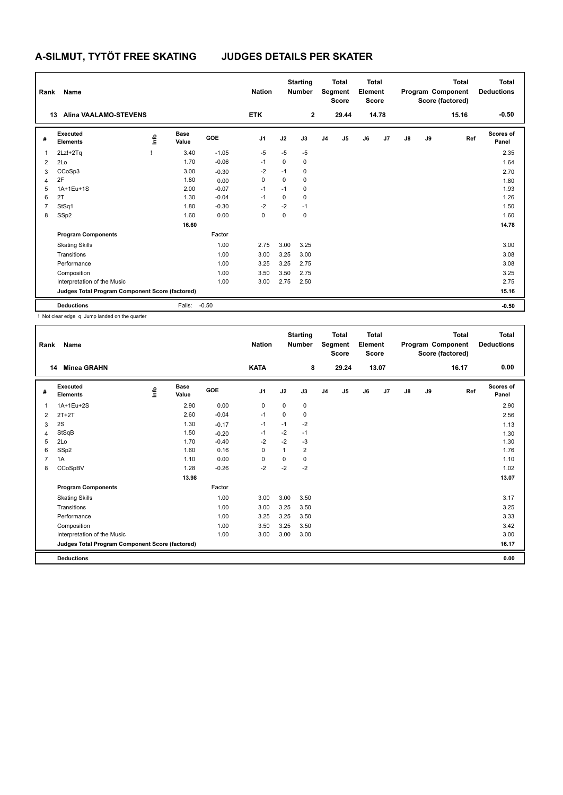| Rank           | Name                                            |     |                      |            | <b>Nation</b>  |      | <b>Starting</b><br><b>Number</b> |                | <b>Total</b><br>Segment<br><b>Score</b> | Total<br>Element<br><b>Score</b> |       |    |    | Total<br>Program Component<br>Score (factored) | <b>Total</b><br><b>Deductions</b> |
|----------------|-------------------------------------------------|-----|----------------------|------------|----------------|------|----------------------------------|----------------|-----------------------------------------|----------------------------------|-------|----|----|------------------------------------------------|-----------------------------------|
|                | <b>Alina VAALAMO-STEVENS</b><br>13              |     |                      |            | <b>ETK</b>     |      | $\overline{2}$                   |                | 29.44                                   |                                  | 14.78 |    |    | 15.16                                          | $-0.50$                           |
| #              | Executed<br><b>Elements</b>                     | ١m٥ | <b>Base</b><br>Value | <b>GOE</b> | J <sub>1</sub> | J2   | J3                               | J <sub>4</sub> | J <sub>5</sub>                          | J6                               | J7    | J8 | J9 | Ref                                            | Scores of<br>Panel                |
| $\overline{1}$ | $2Lz!+2Tq$                                      |     | 3.40                 | $-1.05$    | $-5$           | $-5$ | $-5$                             |                |                                         |                                  |       |    |    |                                                | 2.35                              |
| $\overline{2}$ | 2Lo                                             |     | 1.70                 | $-0.06$    | $-1$           | 0    | $\mathbf 0$                      |                |                                         |                                  |       |    |    |                                                | 1.64                              |
| 3              | CCoSp3                                          |     | 3.00                 | $-0.30$    | $-2$           | $-1$ | 0                                |                |                                         |                                  |       |    |    |                                                | 2.70                              |
| 4              | 2F                                              |     | 1.80                 | 0.00       | 0              | 0    | $\mathbf 0$                      |                |                                         |                                  |       |    |    |                                                | 1.80                              |
| 5              | 1A+1Eu+1S                                       |     | 2.00                 | $-0.07$    | $-1$           | $-1$ | 0                                |                |                                         |                                  |       |    |    |                                                | 1.93                              |
| 6              | 2T                                              |     | 1.30                 | $-0.04$    | $-1$           | 0    | $\mathbf 0$                      |                |                                         |                                  |       |    |    |                                                | 1.26                              |
| $\overline{7}$ | StSq1                                           |     | 1.80                 | $-0.30$    | $-2$           | $-2$ | $-1$                             |                |                                         |                                  |       |    |    |                                                | 1.50                              |
| 8              | SSp2                                            |     | 1.60                 | 0.00       | 0              | 0    | $\mathbf 0$                      |                |                                         |                                  |       |    |    |                                                | 1.60                              |
|                |                                                 |     | 16.60                |            |                |      |                                  |                |                                         |                                  |       |    |    |                                                | 14.78                             |
|                | <b>Program Components</b>                       |     |                      | Factor     |                |      |                                  |                |                                         |                                  |       |    |    |                                                |                                   |
|                | <b>Skating Skills</b>                           |     |                      | 1.00       | 2.75           | 3.00 | 3.25                             |                |                                         |                                  |       |    |    |                                                | 3.00                              |
|                | Transitions                                     |     |                      | 1.00       | 3.00           | 3.25 | 3.00                             |                |                                         |                                  |       |    |    |                                                | 3.08                              |
|                | Performance                                     |     |                      | 1.00       | 3.25           | 3.25 | 2.75                             |                |                                         |                                  |       |    |    |                                                | 3.08                              |
|                | Composition                                     |     |                      | 1.00       | 3.50           | 3.50 | 2.75                             |                |                                         |                                  |       |    |    |                                                | 3.25                              |
|                | Interpretation of the Music                     |     |                      | 1.00       | 3.00           | 2.75 | 2.50                             |                |                                         |                                  |       |    |    |                                                | 2.75                              |
|                | Judges Total Program Component Score (factored) |     |                      |            |                |      |                                  |                |                                         |                                  |       |    |    |                                                | 15.16                             |
|                | <b>Deductions</b>                               |     | Falls:               | $-0.50$    |                |      |                                  |                |                                         |                                  |       |    |    |                                                | $-0.50$                           |

! Not clear edge q Jump landed on the quarter

| Rank | Name                                            |    |                      |         | <b>Nation</b>  |          | <b>Starting</b><br><b>Number</b> |                | <b>Total</b><br>Segment<br><b>Score</b> | <b>Total</b><br>Element<br><b>Score</b> |       |               |    | <b>Total</b><br>Program Component<br>Score (factored) | <b>Total</b><br><b>Deductions</b> |
|------|-------------------------------------------------|----|----------------------|---------|----------------|----------|----------------------------------|----------------|-----------------------------------------|-----------------------------------------|-------|---------------|----|-------------------------------------------------------|-----------------------------------|
| 14   | <b>Minea GRAHN</b>                              |    |                      |         | <b>KATA</b>    |          | 8                                |                | 29.24                                   |                                         | 13.07 |               |    | 16.17                                                 | 0.00                              |
| #    | Executed<br><b>Elements</b>                     | ۴٥ | <b>Base</b><br>Value | GOE     | J <sub>1</sub> | J2       | J3                               | J <sub>4</sub> | J5                                      | J6                                      | J7    | $\mathsf{J}8$ | J9 | Ref                                                   | <b>Scores of</b><br>Panel         |
| 1    | 1A+1Eu+2S                                       |    | 2.90                 | 0.00    | 0              | 0        | 0                                |                |                                         |                                         |       |               |    |                                                       | 2.90                              |
| 2    | $2T+2T$                                         |    | 2.60                 | $-0.04$ | $-1$           | $\Omega$ | 0                                |                |                                         |                                         |       |               |    |                                                       | 2.56                              |
| 3    | 2S                                              |    | 1.30                 | $-0.17$ | $-1$           | $-1$     | $-2$                             |                |                                         |                                         |       |               |    |                                                       | 1.13                              |
| 4    | StSqB                                           |    | 1.50                 | $-0.20$ | $-1$           | $-2$     | $-1$                             |                |                                         |                                         |       |               |    |                                                       | 1.30                              |
| 5    | 2Lo                                             |    | 1.70                 | $-0.40$ | $-2$           | $-2$     | $-3$                             |                |                                         |                                         |       |               |    |                                                       | 1.30                              |
| 6    | SSp2                                            |    | 1.60                 | 0.16    | 0              | 1        | $\overline{2}$                   |                |                                         |                                         |       |               |    |                                                       | 1.76                              |
| 7    | 1A                                              |    | 1.10                 | 0.00    | $\mathbf 0$    | 0        | 0                                |                |                                         |                                         |       |               |    |                                                       | 1.10                              |
| 8    | CCoSpBV                                         |    | 1.28                 | $-0.26$ | $-2$           | $-2$     | $-2$                             |                |                                         |                                         |       |               |    |                                                       | 1.02                              |
|      |                                                 |    | 13.98                |         |                |          |                                  |                |                                         |                                         |       |               |    |                                                       | 13.07                             |
|      | <b>Program Components</b>                       |    |                      | Factor  |                |          |                                  |                |                                         |                                         |       |               |    |                                                       |                                   |
|      | <b>Skating Skills</b>                           |    |                      | 1.00    | 3.00           | 3.00     | 3.50                             |                |                                         |                                         |       |               |    |                                                       | 3.17                              |
|      | Transitions                                     |    |                      | 1.00    | 3.00           | 3.25     | 3.50                             |                |                                         |                                         |       |               |    |                                                       | 3.25                              |
|      | Performance                                     |    |                      | 1.00    | 3.25           | 3.25     | 3.50                             |                |                                         |                                         |       |               |    |                                                       | 3.33                              |
|      | Composition                                     |    |                      | 1.00    | 3.50           | 3.25     | 3.50                             |                |                                         |                                         |       |               |    |                                                       | 3.42                              |
|      | Interpretation of the Music                     |    |                      | 1.00    | 3.00           | 3.00     | 3.00                             |                |                                         |                                         |       |               |    |                                                       | 3.00                              |
|      | Judges Total Program Component Score (factored) |    |                      |         |                |          |                                  |                |                                         |                                         |       |               |    |                                                       | 16.17                             |
|      | <b>Deductions</b>                               |    |                      |         |                |          |                                  |                |                                         |                                         |       |               |    |                                                       | 0.00                              |
|      |                                                 |    |                      |         |                |          |                                  |                |                                         |                                         |       |               |    |                                                       |                                   |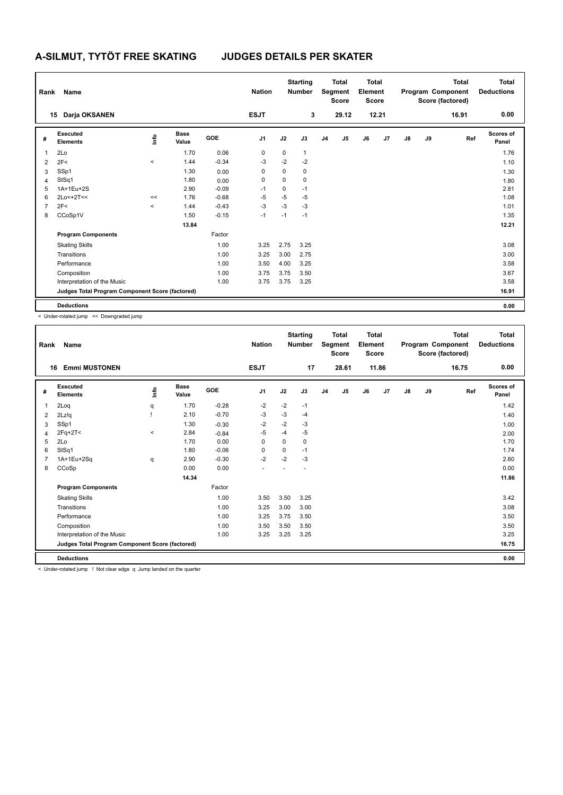| Rank           | Name                                            |                     |                      |            | <b>Nation</b>  |      | <b>Starting</b><br><b>Number</b> |                | <b>Total</b><br>Segment<br><b>Score</b> | Total<br>Element<br>Score |       |    |    | <b>Total</b><br>Program Component<br>Score (factored) | <b>Total</b><br><b>Deductions</b> |
|----------------|-------------------------------------------------|---------------------|----------------------|------------|----------------|------|----------------------------------|----------------|-----------------------------------------|---------------------------|-------|----|----|-------------------------------------------------------|-----------------------------------|
|                | Darja OKSANEN<br>15                             |                     |                      |            | <b>ESJT</b>    |      | 3                                |                | 29.12                                   |                           | 12.21 |    |    | 16.91                                                 | 0.00                              |
| #              | <b>Executed</b><br><b>Elements</b>              | lnfo                | <b>Base</b><br>Value | <b>GOE</b> | J <sub>1</sub> | J2   | J3                               | J <sub>4</sub> | J5                                      | J6                        | J7    | J8 | J9 | Ref                                                   | Scores of<br>Panel                |
| 1              | 2Lo                                             |                     | 1.70                 | 0.06       | $\mathbf 0$    | 0    | $\mathbf{1}$                     |                |                                         |                           |       |    |    |                                                       | 1.76                              |
| 2              | 2F<                                             | $\hat{\phantom{a}}$ | 1.44                 | $-0.34$    | $-3$           | $-2$ | $-2$                             |                |                                         |                           |       |    |    |                                                       | 1.10                              |
| 3              | SSp1                                            |                     | 1.30                 | 0.00       | 0              | 0    | $\mathbf 0$                      |                |                                         |                           |       |    |    |                                                       | 1.30                              |
| 4              | StSq1                                           |                     | 1.80                 | 0.00       | 0              | 0    | $\mathbf 0$                      |                |                                         |                           |       |    |    |                                                       | 1.80                              |
| 5              | 1A+1Eu+2S                                       |                     | 2.90                 | $-0.09$    | $-1$           | 0    | $-1$                             |                |                                         |                           |       |    |    |                                                       | 2.81                              |
| 6              | 2Lo<+2T<<                                       | <<                  | 1.76                 | $-0.68$    | -5             | $-5$ | $-5$                             |                |                                         |                           |       |    |    |                                                       | 1.08                              |
| $\overline{7}$ | 2F<                                             | $\prec$             | 1.44                 | $-0.43$    | $-3$           | $-3$ | $-3$                             |                |                                         |                           |       |    |    |                                                       | 1.01                              |
| 8              | CCoSp1V                                         |                     | 1.50                 | $-0.15$    | $-1$           | $-1$ | $-1$                             |                |                                         |                           |       |    |    |                                                       | 1.35                              |
|                |                                                 |                     | 13.84                |            |                |      |                                  |                |                                         |                           |       |    |    |                                                       | 12.21                             |
|                | <b>Program Components</b>                       |                     |                      | Factor     |                |      |                                  |                |                                         |                           |       |    |    |                                                       |                                   |
|                | <b>Skating Skills</b>                           |                     |                      | 1.00       | 3.25           | 2.75 | 3.25                             |                |                                         |                           |       |    |    |                                                       | 3.08                              |
|                | Transitions                                     |                     |                      | 1.00       | 3.25           | 3.00 | 2.75                             |                |                                         |                           |       |    |    |                                                       | 3.00                              |
|                | Performance                                     |                     |                      | 1.00       | 3.50           | 4.00 | 3.25                             |                |                                         |                           |       |    |    |                                                       | 3.58                              |
|                | Composition                                     |                     |                      | 1.00       | 3.75           | 3.75 | 3.50                             |                |                                         |                           |       |    |    |                                                       | 3.67                              |
|                | Interpretation of the Music                     |                     |                      | 1.00       | 3.75           | 3.75 | 3.25                             |                |                                         |                           |       |    |    |                                                       | 3.58                              |
|                | Judges Total Program Component Score (factored) |                     |                      |            |                |      |                                  |                |                                         |                           |       |    |    |                                                       | 16.91                             |
|                | <b>Deductions</b>                               |                     |                      |            |                |      |                                  |                |                                         |                           |       |    |    |                                                       | 0.00                              |

< Under-rotated jump << Downgraded jump

| Rank | Name                                            |       |                      |         | <b>Nation</b>  |          | <b>Starting</b><br><b>Number</b> |                | Total<br>Segment<br><b>Score</b> | Total<br>Element<br><b>Score</b> |       |               |    | <b>Total</b><br>Program Component<br>Score (factored) | Total<br><b>Deductions</b> |
|------|-------------------------------------------------|-------|----------------------|---------|----------------|----------|----------------------------------|----------------|----------------------------------|----------------------------------|-------|---------------|----|-------------------------------------------------------|----------------------------|
| 16   | <b>Emmi MUSTONEN</b>                            |       |                      |         | <b>ESJT</b>    |          | 17                               |                | 28.61                            |                                  | 11.86 |               |    | 16.75                                                 | 0.00                       |
| #    | Executed<br><b>Elements</b>                     | info  | <b>Base</b><br>Value | GOE     | J <sub>1</sub> | J2       | J3                               | J <sub>4</sub> | J5                               | J6                               | J7    | $\mathsf{J}8$ | J9 | Ref                                                   | <b>Scores of</b><br>Panel  |
| 1    | 2Loq                                            | q     | 1.70                 | $-0.28$ | $-2$           | $-2$     | $-1$                             |                |                                  |                                  |       |               |    |                                                       | 1.42                       |
| 2    | 2Lz!q                                           |       | 2.10                 | $-0.70$ | -3             | $-3$     | -4                               |                |                                  |                                  |       |               |    |                                                       | 1.40                       |
| 3    | SSp1                                            |       | 1.30                 | $-0.30$ | $-2$           | $-2$     | $-3$                             |                |                                  |                                  |       |               |    |                                                       | 1.00                       |
| 4    | $2Fq+2T<$                                       | $\,<$ | 2.84                 | $-0.84$ | $-5$           | $-4$     | $-5$                             |                |                                  |                                  |       |               |    |                                                       | 2.00                       |
| 5    | 2Lo                                             |       | 1.70                 | 0.00    | 0              | $\Omega$ | 0                                |                |                                  |                                  |       |               |    |                                                       | 1.70                       |
| 6    | StSq1                                           |       | 1.80                 | $-0.06$ | 0              | 0        | $-1$                             |                |                                  |                                  |       |               |    |                                                       | 1.74                       |
| 7    | 1A+1Eu+2Sq                                      | q     | 2.90                 | $-0.30$ | $-2$           | $-2$     | $-3$                             |                |                                  |                                  |       |               |    |                                                       | 2.60                       |
| 8    | CCoSp                                           |       | 0.00                 | 0.00    |                |          |                                  |                |                                  |                                  |       |               |    |                                                       | 0.00                       |
|      |                                                 |       | 14.34                |         |                |          |                                  |                |                                  |                                  |       |               |    |                                                       | 11.86                      |
|      | <b>Program Components</b>                       |       |                      | Factor  |                |          |                                  |                |                                  |                                  |       |               |    |                                                       |                            |
|      | <b>Skating Skills</b>                           |       |                      | 1.00    | 3.50           | 3.50     | 3.25                             |                |                                  |                                  |       |               |    |                                                       | 3.42                       |
|      | Transitions                                     |       |                      | 1.00    | 3.25           | 3.00     | 3.00                             |                |                                  |                                  |       |               |    |                                                       | 3.08                       |
|      | Performance                                     |       |                      | 1.00    | 3.25           | 3.75     | 3.50                             |                |                                  |                                  |       |               |    |                                                       | 3.50                       |
|      | Composition                                     |       |                      | 1.00    | 3.50           | 3.50     | 3.50                             |                |                                  |                                  |       |               |    |                                                       | 3.50                       |
|      | Interpretation of the Music                     |       |                      | 1.00    | 3.25           | 3.25     | 3.25                             |                |                                  |                                  |       |               |    |                                                       | 3.25                       |
|      | Judges Total Program Component Score (factored) |       |                      |         |                |          |                                  |                |                                  |                                  |       |               |    |                                                       | 16.75                      |
|      | <b>Deductions</b>                               |       |                      |         |                |          |                                  |                |                                  |                                  |       |               |    |                                                       | 0.00                       |

< Under-rotated jump ! Not clear edge q Jump landed on the quarter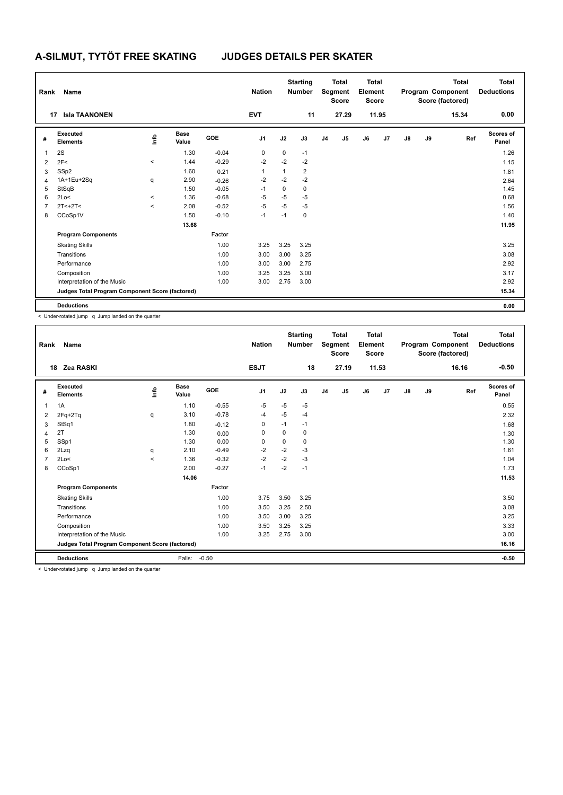| Rank           | Name                                            |         |                      |            | <b>Nation</b>  |      | <b>Starting</b><br><b>Number</b> |                | <b>Total</b><br>Segment<br><b>Score</b> | Total<br>Element<br><b>Score</b> |       |               |    | <b>Total</b><br>Program Component<br>Score (factored) | Total<br><b>Deductions</b> |
|----------------|-------------------------------------------------|---------|----------------------|------------|----------------|------|----------------------------------|----------------|-----------------------------------------|----------------------------------|-------|---------------|----|-------------------------------------------------------|----------------------------|
|                | <b>Isla TAANONEN</b><br>17                      |         |                      |            | <b>EVT</b>     |      | 11                               |                | 27.29                                   |                                  | 11.95 |               |    | 15.34                                                 | 0.00                       |
| #              | Executed<br><b>Elements</b>                     | ١mfo    | <b>Base</b><br>Value | <b>GOE</b> | J <sub>1</sub> | J2   | J3                               | J <sub>4</sub> | J5                                      | J6                               | J7    | $\mathsf{J}8$ | J9 | Ref                                                   | <b>Scores of</b><br>Panel  |
| $\overline{1}$ | 2S                                              |         | 1.30                 | $-0.04$    | $\mathbf 0$    | 0    | $-1$                             |                |                                         |                                  |       |               |    |                                                       | 1.26                       |
| $\overline{2}$ | 2F<                                             | $\prec$ | 1.44                 | $-0.29$    | $-2$           | $-2$ | $-2$                             |                |                                         |                                  |       |               |    |                                                       | 1.15                       |
| 3              | SSp2                                            |         | 1.60                 | 0.21       | 1              | 1    | $\overline{2}$                   |                |                                         |                                  |       |               |    |                                                       | 1.81                       |
| $\overline{4}$ | 1A+1Eu+2Sq                                      | q       | 2.90                 | $-0.26$    | $-2$           | $-2$ | $-2$                             |                |                                         |                                  |       |               |    |                                                       | 2.64                       |
| 5              | StSqB                                           |         | 1.50                 | $-0.05$    | $-1$           | 0    | $\mathbf 0$                      |                |                                         |                                  |       |               |    |                                                       | 1.45                       |
| 6              | 2Lo<                                            | $\,<\,$ | 1.36                 | $-0.68$    | $-5$           | $-5$ | $-5$                             |                |                                         |                                  |       |               |    |                                                       | 0.68                       |
| $\overline{7}$ | $2T < +2T <$                                    | $\prec$ | 2.08                 | $-0.52$    | $-5$           | $-5$ | $-5$                             |                |                                         |                                  |       |               |    |                                                       | 1.56                       |
| 8              | CCoSp1V                                         |         | 1.50                 | $-0.10$    | $-1$           | $-1$ | $\mathbf 0$                      |                |                                         |                                  |       |               |    |                                                       | 1.40                       |
|                |                                                 |         | 13.68                |            |                |      |                                  |                |                                         |                                  |       |               |    |                                                       | 11.95                      |
|                | <b>Program Components</b>                       |         |                      | Factor     |                |      |                                  |                |                                         |                                  |       |               |    |                                                       |                            |
|                | <b>Skating Skills</b>                           |         |                      | 1.00       | 3.25           | 3.25 | 3.25                             |                |                                         |                                  |       |               |    |                                                       | 3.25                       |
|                | Transitions                                     |         |                      | 1.00       | 3.00           | 3.00 | 3.25                             |                |                                         |                                  |       |               |    |                                                       | 3.08                       |
|                | Performance                                     |         |                      | 1.00       | 3.00           | 3.00 | 2.75                             |                |                                         |                                  |       |               |    |                                                       | 2.92                       |
|                | Composition                                     |         |                      | 1.00       | 3.25           | 3.25 | 3.00                             |                |                                         |                                  |       |               |    |                                                       | 3.17                       |
|                | Interpretation of the Music                     |         |                      | 1.00       | 3.00           | 2.75 | 3.00                             |                |                                         |                                  |       |               |    |                                                       | 2.92                       |
|                | Judges Total Program Component Score (factored) |         |                      |            |                |      |                                  |                |                                         |                                  |       |               |    |                                                       | 15.34                      |
|                | <b>Deductions</b>                               |         |                      |            |                |      |                                  |                |                                         |                                  |       |               |    |                                                       | 0.00                       |

| Rank | Name                                                                                                                                 |         |                      |         | <b>Nation</b>  |      | <b>Starting</b><br><b>Number</b> |                | <b>Total</b><br>Segment<br><b>Score</b> | <b>Total</b><br>Element<br><b>Score</b> |       |               |    | <b>Total</b><br>Program Component<br>Score (factored) | <b>Total</b><br><b>Deductions</b> |
|------|--------------------------------------------------------------------------------------------------------------------------------------|---------|----------------------|---------|----------------|------|----------------------------------|----------------|-----------------------------------------|-----------------------------------------|-------|---------------|----|-------------------------------------------------------|-----------------------------------|
|      | 18<br>Zea RASKI                                                                                                                      |         |                      |         | <b>ESJT</b>    |      | 18                               |                | 27.19                                   |                                         | 11.53 |               |    | 16.16                                                 | $-0.50$                           |
| #    | Executed<br><b>Elements</b>                                                                                                          | info    | <b>Base</b><br>Value | GOE     | J <sub>1</sub> | J2   | J3                               | J <sub>4</sub> | J5                                      | J6                                      | J7    | $\mathsf{J}8$ | J9 | Ref                                                   | Scores of<br>Panel                |
| 1    | 1A                                                                                                                                   |         | 1.10                 | $-0.55$ | $-5$           | $-5$ | $-5$                             |                |                                         |                                         |       |               |    |                                                       | 0.55                              |
| 2    | $2Fq+2Tq$                                                                                                                            | q       | 3.10                 | $-0.78$ | $-4$           | $-5$ | $-4$                             |                |                                         |                                         |       |               |    |                                                       | 2.32                              |
| 3    | StSq1                                                                                                                                |         | 1.80                 | $-0.12$ | 0              | $-1$ | $-1$                             |                |                                         |                                         |       |               |    |                                                       | 1.68                              |
| 4    | 2T                                                                                                                                   |         | 1.30                 | 0.00    | 0              | 0    | 0                                |                |                                         |                                         |       |               |    |                                                       | 1.30                              |
| 5    | SSp1                                                                                                                                 |         | 1.30                 | 0.00    | 0              | 0    | 0                                |                |                                         |                                         |       |               |    |                                                       | 1.30                              |
| 6    | 2Lzq                                                                                                                                 | q       | 2.10                 | $-0.49$ | $-2$           | $-2$ | $-3$                             |                |                                         |                                         |       |               |    |                                                       | 1.61                              |
|      | 2Lo<                                                                                                                                 | $\prec$ | 1.36                 | $-0.32$ | $-2$           | $-2$ | $-3$                             |                |                                         |                                         |       |               |    |                                                       | 1.04                              |
| 8    | CCoSp1                                                                                                                               |         | 2.00                 | $-0.27$ | $-1$           | $-2$ | $-1$                             |                |                                         |                                         |       |               |    |                                                       | 1.73                              |
|      |                                                                                                                                      |         | 14.06                |         |                |      |                                  |                |                                         |                                         |       |               |    |                                                       | 11.53                             |
|      | <b>Program Components</b>                                                                                                            |         |                      | Factor  |                |      |                                  |                |                                         |                                         |       |               |    |                                                       |                                   |
|      | <b>Skating Skills</b>                                                                                                                |         |                      | 1.00    | 3.75           | 3.50 | 3.25                             |                |                                         |                                         |       |               |    |                                                       | 3.50                              |
|      | Transitions                                                                                                                          |         |                      | 1.00    | 3.50           | 3.25 | 2.50                             |                |                                         |                                         |       |               |    |                                                       | 3.08                              |
|      | Performance                                                                                                                          |         |                      | 1.00    | 3.50           | 3.00 | 3.25                             |                |                                         |                                         |       |               |    |                                                       | 3.25                              |
|      | Composition                                                                                                                          |         |                      | 1.00    | 3.50           | 3.25 | 3.25                             |                |                                         |                                         |       |               |    |                                                       | 3.33                              |
|      | Interpretation of the Music                                                                                                          |         |                      | 1.00    | 3.25           | 2.75 | 3.00                             |                |                                         |                                         |       |               |    |                                                       | 3.00                              |
|      | Judges Total Program Component Score (factored)                                                                                      |         |                      |         |                |      |                                  |                |                                         |                                         |       |               |    |                                                       | 16.16                             |
|      | <b>Deductions</b><br>the contract of the contract of the contract of the contract of the contract of the contract of the contract of |         | Falls:               | $-0.50$ |                |      |                                  |                |                                         |                                         |       |               |    |                                                       | $-0.50$                           |

< Under-rotated jump q Jump landed on the quarter